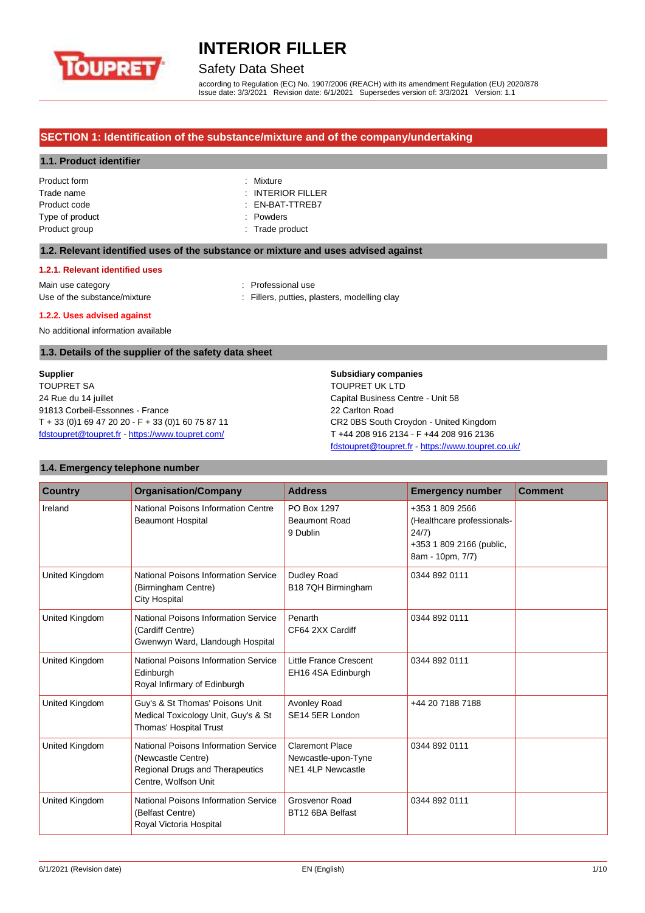

# Safety Data Sheet

according to Regulation (EC) No. 1907/2006 (REACH) with its amendment Regulation (EU) 2020/878 Issue date: 3/3/2021 Revision date: 6/1/2021 Supersedes version of: 3/3/2021 Version: 1.1

### **SECTION 1: Identification of the substance/mixture and of the company/undertaking**

#### **1.1. Product identifier**

| Product form    |   |
|-----------------|---|
| Trade name      | : |
| Product code    | ٠ |
| Type of product | ٠ |
| Product group   |   |
|                 |   |

Mixture **INTERIOR FILLER** EN-BAT-TTREB7 Powders Trade product

### **1.2. Relevant identified uses of the substance or mixture and uses advised against**

#### **1.2.1. Relevant identified uses**

Main use category **Example 20** and 20 and 20 and 20 and 20 and 20 and 20 and 20 and 20 and 20 and 20 and 20 and 20 and 20 and 20 and 20 and 20 and 20 and 20 and 20 and 20 and 20 and 20 and 20 and 20 and 20 and 20 and 20 an Use of the substance/mixture in the substance in the substance of the substance in the substance of the substance of the substance in the substance in the substance in the substance in the substance in the substance in the

#### **1.2.2. Uses advised against**

No additional information available

#### **1.3. Details of the supplier of the safety data sheet**

**Supplier** TOUPRET SA 24 Rue du 14 juillet 91813 Corbeil-Essonnes - France T + 33 (0)1 69 47 20 20 - F + 33 (0)1 60 75 87 11 [fdstoupret@toupret.fr](mailto:fdstoupret@toupret.fr) - <https://www.toupret.com/>

### **Subsidiary companies** TOUPRET UK LTD

Capital Business Centre - Unit 58 22 Carlton Road CR2 0BS South Croydon - United Kingdom T +44 208 916 2134 - F +44 208 916 2136 [fdstoupret@toupret.fr](mailto:fdstoupret@toupret.fr) - <https://www.toupret.co.uk/>

#### **1.4. Emergency telephone number**

| <b>Country</b> | <b>Organisation/Company</b>                                                                                           | <b>Address</b>                                                            | <b>Emergency number</b>                                                                                | <b>Comment</b> |
|----------------|-----------------------------------------------------------------------------------------------------------------------|---------------------------------------------------------------------------|--------------------------------------------------------------------------------------------------------|----------------|
| Ireland        | National Poisons Information Centre<br><b>Beaumont Hospital</b>                                                       | PO Box 1297<br><b>Beaumont Road</b><br>9 Dublin                           | +353 1 809 2566<br>(Healthcare professionals-<br>24/7)<br>+353 1 809 2166 (public,<br>8am - 10pm, 7/7) |                |
| United Kingdom | National Poisons Information Service<br>(Birmingham Centre)<br><b>City Hospital</b>                                   | Dudley Road<br>B18 7QH Birmingham                                         | 0344 892 0111                                                                                          |                |
| United Kingdom | National Poisons Information Service<br>(Cardiff Centre)<br>Gwenwyn Ward, Llandough Hospital                          | Penarth<br>CF64 2XX Cardiff                                               | 0344 892 0111                                                                                          |                |
| United Kingdom | <b>National Poisons Information Service</b><br>Edinburgh<br>Royal Infirmary of Edinburgh                              | Little France Crescent<br>EH16 4SA Edinburgh                              | 0344 892 0111                                                                                          |                |
| United Kingdom | Guy's & St Thomas' Poisons Unit<br>Medical Toxicology Unit, Guy's & St<br>Thomas' Hospital Trust                      | Avonley Road<br>SE14 5ER London                                           | +44 20 7188 7188                                                                                       |                |
| United Kingdom | National Poisons Information Service<br>(Newcastle Centre)<br>Regional Drugs and Therapeutics<br>Centre, Wolfson Unit | <b>Claremont Place</b><br>Newcastle-upon-Tyne<br><b>NE1 4LP Newcastle</b> | 0344 892 0111                                                                                          |                |
| United Kingdom | National Poisons Information Service<br>(Belfast Centre)<br>Royal Victoria Hospital                                   | Grosvenor Road<br>BT12 6BA Belfast                                        | 0344 892 0111                                                                                          |                |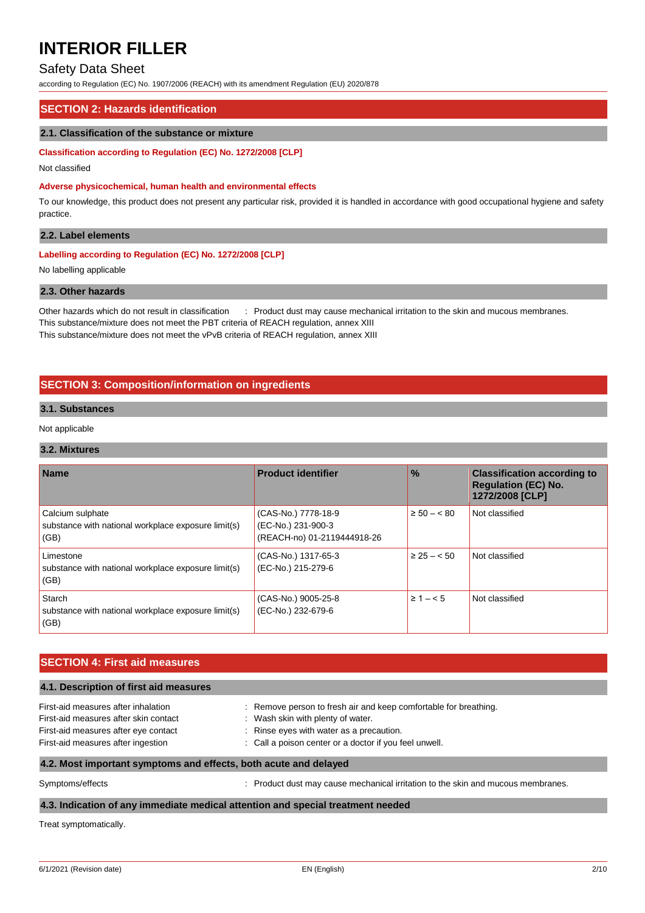## Safety Data Sheet

according to Regulation (EC) No. 1907/2006 (REACH) with its amendment Regulation (EU) 2020/878

#### **SECTION 2: Hazards identification**

#### **2.1. Classification of the substance or mixture**

#### **Classification according to Regulation (EC) No. 1272/2008 [CLP]**

Not classified

#### **Adverse physicochemical, human health and environmental effects**

To our knowledge, this product does not present any particular risk, provided it is handled in accordance with good occupational hygiene and safety practice.

#### **2.2. Label elements**

### **Labelling according to Regulation (EC) No. 1272/2008 [CLP]**

No labelling applicable

#### **2.3. Other hazards**

Other hazards which do not result in classification : Product dust may cause mechanical irritation to the skin and mucous membranes. This substance/mixture does not meet the PBT criteria of REACH regulation, annex XIII This substance/mixture does not meet the vPvB criteria of REACH regulation, annex XIII

### **SECTION 3: Composition/information on ingredients**

#### **3.1. Substances**

Not applicable

#### **3.2. Mixtures**

| <b>Name</b>                                                                     | <b>Product identifier</b>                                                | $\frac{0}{0}$    | <b>Classification according to</b><br><b>Regulation (EC) No.</b><br>1272/2008 [CLP] |
|---------------------------------------------------------------------------------|--------------------------------------------------------------------------|------------------|-------------------------------------------------------------------------------------|
| Calcium sulphate<br>substance with national workplace exposure limit(s)<br>(GB) | (CAS-No.) 7778-18-9<br>(EC-No.) 231-900-3<br>(REACH-no) 01-2119444918-26 | $\ge 50 - < 80$  | Not classified                                                                      |
| Limestone<br>substance with national workplace exposure limit(s)<br>(GB)        | (CAS-No.) 1317-65-3<br>(EC-No.) 215-279-6                                | $\geq$ 25 – < 50 | Not classified                                                                      |
| Starch<br>substance with national workplace exposure limit(s)<br>(GB)           | (CAS-No.) 9005-25-8<br>(EC-No.) 232-679-6                                | $\geq 1 - 5$     | Not classified                                                                      |

#### **SECTION 4: First aid measures**

| 4.1. Description of first aid measures |                                                                  |  |  |  |
|----------------------------------------|------------------------------------------------------------------|--|--|--|
| First-aid measures after inhalation    | : Remove person to fresh air and keep comfortable for breathing. |  |  |  |
| First-aid measures after skin contact  | : Wash skin with plenty of water.                                |  |  |  |
| First-aid measures after eye contact   | : Rinse eyes with water as a precaution.                         |  |  |  |
| First-aid measures after ingestion     | : Call a poison center or a doctor if you feel unwell.           |  |  |  |
|                                        |                                                                  |  |  |  |

#### **4.2. Most important symptoms and effects, both acute and delayed**

Symptoms/effects **intervalst and mucous membranes** : Product dust may cause mechanical irritation to the skin and mucous membranes.

#### **4.3. Indication of any immediate medical attention and special treatment needed**

Treat symptomatically.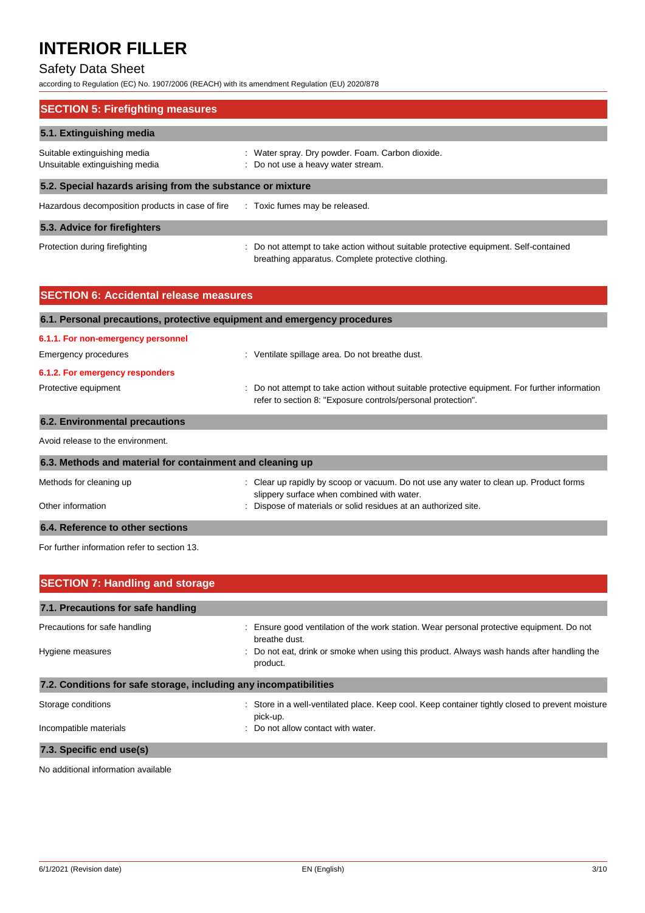# Safety Data Sheet

according to Regulation (EC) No. 1907/2006 (REACH) with its amendment Regulation (EU) 2020/878

| <b>SECTION 5: Firefighting measures</b>                                         |                                                                                                                                             |  |  |  |
|---------------------------------------------------------------------------------|---------------------------------------------------------------------------------------------------------------------------------------------|--|--|--|
| 5.1. Extinguishing media                                                        |                                                                                                                                             |  |  |  |
| Suitable extinguishing media<br>Unsuitable extinguishing media                  | : Water spray. Dry powder. Foam. Carbon dioxide.<br>: Do not use a heavy water stream.                                                      |  |  |  |
|                                                                                 | 5.2. Special hazards arising from the substance or mixture                                                                                  |  |  |  |
| Hazardous decomposition products in case of fire : Toxic fumes may be released. |                                                                                                                                             |  |  |  |
| 5.3. Advice for firefighters                                                    |                                                                                                                                             |  |  |  |
| Protection during firefighting                                                  | : Do not attempt to take action without suitable protective equipment. Self-contained<br>breathing apparatus. Complete protective clothing. |  |  |  |

| <b>SECTION 6: Accidental release measures</b>                                                                                                                                          |                                                                                                                                      |  |  |  |
|----------------------------------------------------------------------------------------------------------------------------------------------------------------------------------------|--------------------------------------------------------------------------------------------------------------------------------------|--|--|--|
| 6.1. Personal precautions, protective equipment and emergency procedures                                                                                                               |                                                                                                                                      |  |  |  |
| 6.1.1. For non-emergency personnel                                                                                                                                                     |                                                                                                                                      |  |  |  |
| <b>Emergency procedures</b>                                                                                                                                                            | : Ventilate spillage area. Do not breathe dust.                                                                                      |  |  |  |
| 6.1.2. For emergency responders                                                                                                                                                        |                                                                                                                                      |  |  |  |
| Protective equipment<br>: Do not attempt to take action without suitable protective equipment. For further information<br>refer to section 8: "Exposure controls/personal protection". |                                                                                                                                      |  |  |  |
| <b>6.2. Environmental precautions</b>                                                                                                                                                  |                                                                                                                                      |  |  |  |
| Avoid release to the environment.                                                                                                                                                      |                                                                                                                                      |  |  |  |
| 6.3. Methods and material for containment and cleaning up                                                                                                                              |                                                                                                                                      |  |  |  |
| Methods for cleaning up                                                                                                                                                                | : Clear up rapidly by scoop or vacuum. Do not use any water to clean up. Product forms<br>slippery surface when combined with water. |  |  |  |
| Other information                                                                                                                                                                      | : Dispose of materials or solid residues at an authorized site.                                                                      |  |  |  |

### **6.4. Reference to other sections**

For further information refer to section 13.

| <b>SECTION 7: Handling and storage</b>                            |                                                                                                              |
|-------------------------------------------------------------------|--------------------------------------------------------------------------------------------------------------|
| 7.1. Precautions for safe handling                                |                                                                                                              |
| Precautions for safe handling                                     | : Ensure good ventilation of the work station. Wear personal protective equipment. Do not<br>breathe dust.   |
| Hygiene measures                                                  | : Do not eat, drink or smoke when using this product. Always wash hands after handling the<br>product.       |
| 7.2. Conditions for safe storage, including any incompatibilities |                                                                                                              |
| Storage conditions                                                | : Store in a well-ventilated place. Keep cool. Keep container tightly closed to prevent moisture<br>pick-up. |
| Incompatible materials                                            | : Do not allow contact with water.                                                                           |
| 7.3. Specific end use(s)                                          |                                                                                                              |

No additional information available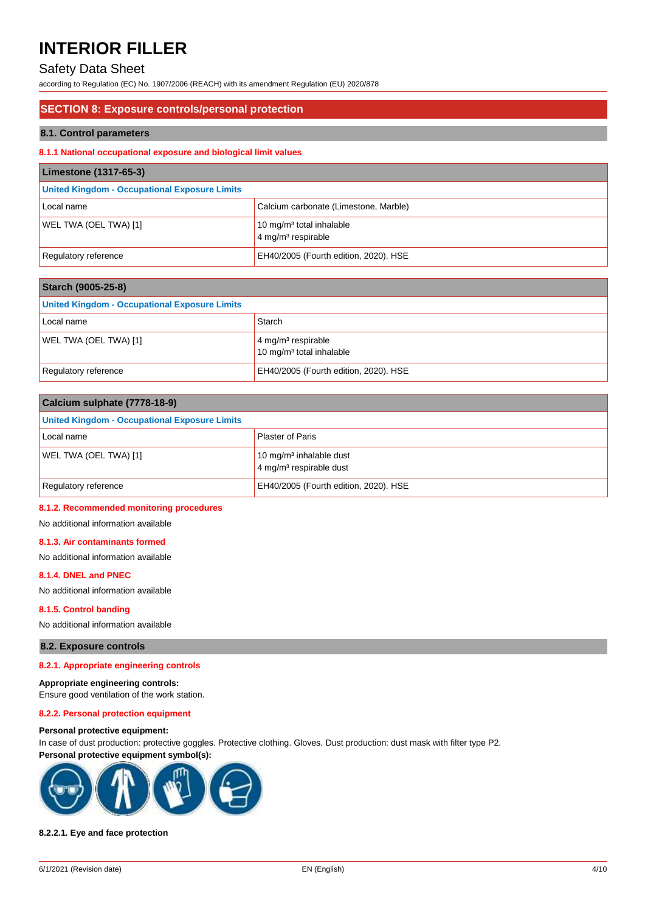# Safety Data Sheet

according to Regulation (EC) No. 1907/2006 (REACH) with its amendment Regulation (EU) 2020/878

#### **SECTION 8: Exposure controls/personal protection**

#### **8.1. Control parameters**

#### **8.1.1 National occupational exposure and biological limit values**

| Limestone (1317-65-3)                         |                                                                        |  |  |
|-----------------------------------------------|------------------------------------------------------------------------|--|--|
| United Kingdom - Occupational Exposure Limits |                                                                        |  |  |
| Local name                                    | Calcium carbonate (Limestone, Marble)                                  |  |  |
| WEL TWA (OEL TWA) [1]                         | 10 mg/m <sup>3</sup> total inhalable<br>4 mg/m <sup>3</sup> respirable |  |  |
| Regulatory reference                          | EH40/2005 (Fourth edition, 2020). HSE                                  |  |  |

| Starch (9005-25-8)                            |                                                                          |  |
|-----------------------------------------------|--------------------------------------------------------------------------|--|
| United Kingdom - Occupational Exposure Limits |                                                                          |  |
| Local name                                    | Starch                                                                   |  |
| WEL TWA (OEL TWA) [1]                         | $4 \,\mathrm{mg/m^3}$ respirable<br>10 mg/m <sup>3</sup> total inhalable |  |
| Regulatory reference                          | EH40/2005 (Fourth edition, 2020). HSE                                    |  |

| Calcium sulphate (7778-18-9)                         |                                                                            |  |  |
|------------------------------------------------------|----------------------------------------------------------------------------|--|--|
| <b>United Kingdom - Occupational Exposure Limits</b> |                                                                            |  |  |
| Local name                                           | <b>Plaster of Paris</b>                                                    |  |  |
| WEL TWA (OEL TWA) [1]                                | 10 mg/m <sup>3</sup> inhalable dust<br>4 mg/m <sup>3</sup> respirable dust |  |  |
| Regulatory reference                                 | EH40/2005 (Fourth edition, 2020). HSE                                      |  |  |

#### **8.1.2. Recommended monitoring procedures**

No additional information available

#### **8.1.3. Air contaminants formed**

No additional information available

#### **8.1.4. DNEL and PNEC**

No additional information available

#### **8.1.5. Control banding**

No additional information available

#### **8.2. Exposure controls**

#### **8.2.1. Appropriate engineering controls**

**Appropriate engineering controls:**

Ensure good ventilation of the work station.

# **8.2.2. Personal protection equipment**

#### **Personal protective equipment:**

In case of dust production: protective goggles. Protective clothing. Gloves. Dust production: dust mask with filter type P2. **Personal protective equipment symbol(s):**



#### **8.2.2.1. Eye and face protection**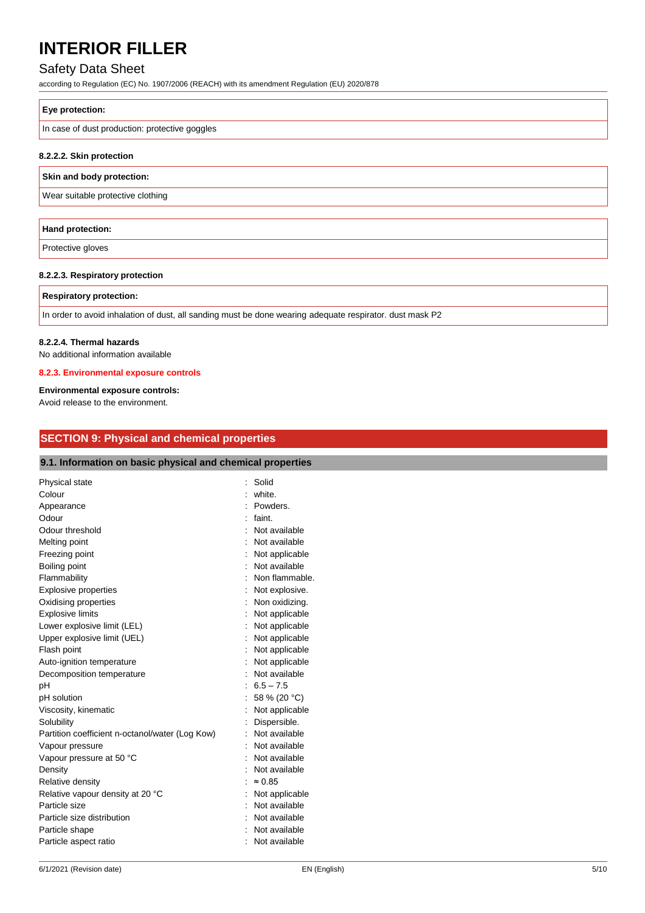# Safety Data Sheet

according to Regulation (EC) No. 1907/2006 (REACH) with its amendment Regulation (EU) 2020/878

#### **Eye protection:**

In case of dust production: protective goggles

#### **8.2.2.2. Skin protection**

#### **Skin and body protection:**

Wear suitable protective clothing

# **Hand protection:**

Protective gloves

#### **8.2.2.3. Respiratory protection**

#### **Respiratory protection:**

In order to avoid inhalation of dust, all sanding must be done wearing adequate respirator. dust mask P2

#### **8.2.2.4. Thermal hazards**

No additional information available

#### **8.2.3. Environmental exposure controls**

#### **Environmental exposure controls:**

Avoid release to the environment.

### **SECTION 9: Physical and chemical properties**

### **9.1. Information on basic physical and chemical properties**

| Physical state                                  |    | Solid          |
|-------------------------------------------------|----|----------------|
| Colour                                          |    | white.         |
| Appearance                                      |    | Powders.       |
| Odour                                           | ۰  | faint.         |
| Odour threshold                                 |    | Not available  |
| Melting point                                   |    | Not available  |
| Freezing point                                  |    | Not applicable |
| Boiling point                                   |    | Not available  |
| Flammability                                    |    | Non flammable. |
| <b>Explosive properties</b>                     |    | Not explosive. |
| Oxidising properties                            |    | Non oxidizing. |
| <b>Explosive limits</b>                         |    | Not applicable |
| Lower explosive limit (LEL)                     |    | Not applicable |
| Upper explosive limit (UEL)                     |    | Not applicable |
| Flash point                                     |    | Not applicable |
| Auto-ignition temperature                       |    | Not applicable |
| Decomposition temperature                       |    | Not available  |
| pH                                              |    | $6.5 - 7.5$    |
| pH solution                                     |    | 58 % (20 °C)   |
| Viscosity, kinematic                            |    | Not applicable |
| Solubility                                      |    | Dispersible.   |
| Partition coefficient n-octanol/water (Log Kow) |    | Not available  |
| Vapour pressure                                 |    | Not available  |
| Vapour pressure at 50 °C                        |    | Not available  |
| Density                                         |    | Not available  |
| Relative density                                |    | $\approx 0.85$ |
| Relative vapour density at 20 °C                |    | Not applicable |
| Particle size                                   | ۰. | Not available  |
| Particle size distribution                      |    | Not available  |
| Particle shape                                  |    | Not available  |
| Particle aspect ratio                           |    | Not available  |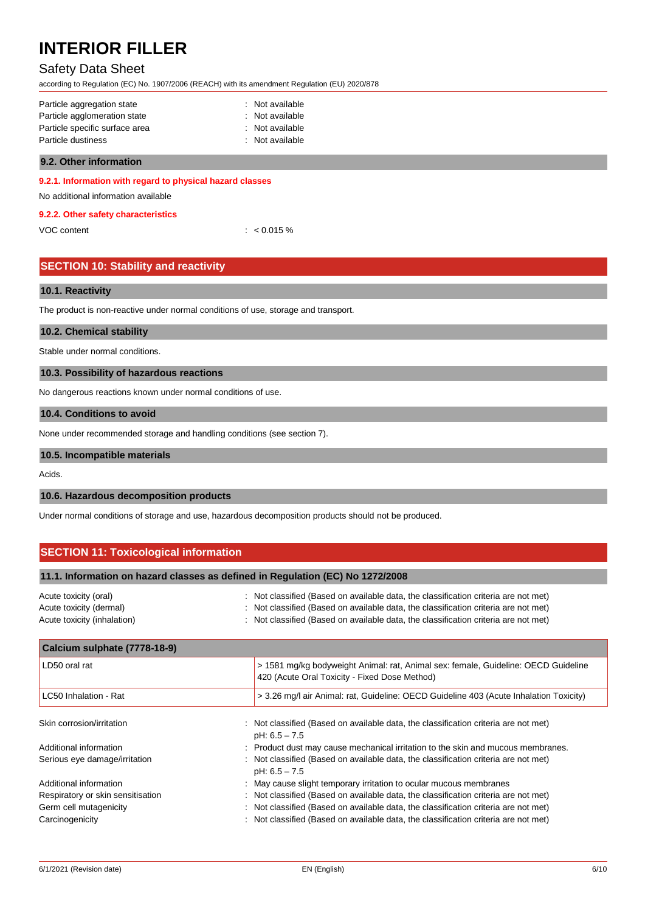# Safety Data Sheet

according to Regulation (EC) No. 1907/2006 (REACH) with its amendment Regulation (EU) 2020/878

| : Not available |
|-----------------|
| : Not available |
| : Not available |
| : Not available |
|                 |

#### **9.2. Other information**

#### **9.2.1. Information with regard to physical hazard classes**

No additional information available

#### **9.2.2. Other safety characteristics**

| VOC content |  |
|-------------|--|
|             |  |

## **SECTION 10: Stability and reactivity**

#### **10.1. Reactivity**

The product is non-reactive under normal conditions of use, storage and transport.

#### **10.2. Chemical stability**

Stable under normal conditions.

#### **10.3. Possibility of hazardous reactions**

No dangerous reactions known under normal conditions of use.

#### **10.4. Conditions to avoid**

None under recommended storage and handling conditions (see section 7).

#### **10.5. Incompatible materials**

Acids.

#### **10.6. Hazardous decomposition products**

Under normal conditions of storage and use, hazardous decomposition products should not be produced.

 $< 0.015 %$ 

### **SECTION 11: Toxicological information**

| 11.1. Information on hazard classes as defined in Regulation (EC) No 1272/2008  |                                                                                                                                                                                                                                                                   |  |
|---------------------------------------------------------------------------------|-------------------------------------------------------------------------------------------------------------------------------------------------------------------------------------------------------------------------------------------------------------------|--|
| Acute toxicity (oral)<br>Acute toxicity (dermal)<br>Acute toxicity (inhalation) | : Not classified (Based on available data, the classification criteria are not met)<br>: Not classified (Based on available data, the classification criteria are not met)<br>: Not classified (Based on available data, the classification criteria are not met) |  |
| Calcium sulphate (7778-18-9)                                                    |                                                                                                                                                                                                                                                                   |  |

| LD50 oral rat                     | > 1581 mg/kg bodyweight Animal: rat, Animal sex: female, Guideline: OECD Guideline<br>420 (Acute Oral Toxicity - Fixed Dose Method) |  |  |
|-----------------------------------|-------------------------------------------------------------------------------------------------------------------------------------|--|--|
| LC50 Inhalation - Rat             | > 3.26 mg/l air Animal: rat, Guideline: OECD Guideline 403 (Acute Inhalation Toxicity)                                              |  |  |
| Skin corrosion/irritation         |                                                                                                                                     |  |  |
|                                   | : Not classified (Based on available data, the classification criteria are not met)<br>$pH: 6.5 - 7.5$                              |  |  |
| Additional information            | : Product dust may cause mechanical irritation to the skin and mucous membranes.                                                    |  |  |
| Serious eye damage/irritation     | : Not classified (Based on available data, the classification criteria are not met)<br>$pH: 6.5 - 7.5$                              |  |  |
| Additional information            | May cause slight temporary irritation to ocular mucous membranes                                                                    |  |  |
| Respiratory or skin sensitisation | Not classified (Based on available data, the classification criteria are not met)                                                   |  |  |
| Germ cell mutagenicity            | Not classified (Based on available data, the classification criteria are not met)                                                   |  |  |
| Carcinogenicity                   | Not classified (Based on available data, the classification criteria are not met)                                                   |  |  |
|                                   |                                                                                                                                     |  |  |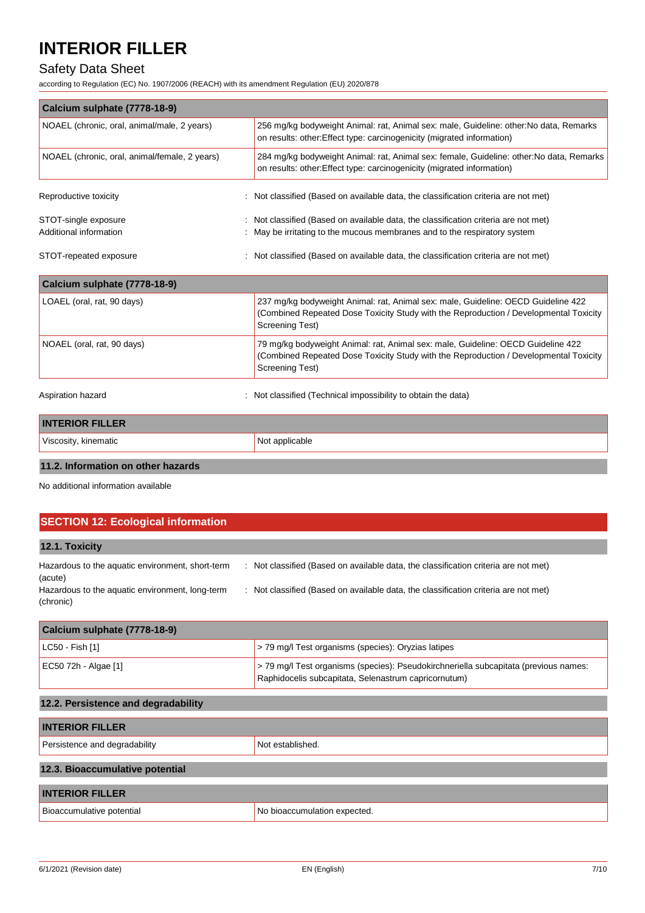# Safety Data Sheet

according to Regulation (EC) No. 1907/2006 (REACH) with its amendment Regulation (EU) 2020/878

| Calcium sulphate (7778-18-9)                   |                                                                                                                                                                                                      |  |
|------------------------------------------------|------------------------------------------------------------------------------------------------------------------------------------------------------------------------------------------------------|--|
| NOAEL (chronic, oral, animal/male, 2 years)    | 256 mg/kg bodyweight Animal: rat, Animal sex: male, Guideline: other: No data, Remarks<br>on results: other: Effect type: carcinogenicity (migrated information)                                     |  |
| NOAEL (chronic, oral, animal/female, 2 years)  | 284 mg/kg bodyweight Animal: rat, Animal sex: female, Guideline: other: No data, Remarks<br>on results: other: Effect type: carcinogenicity (migrated information)                                   |  |
| Reproductive toxicity                          | Not classified (Based on available data, the classification criteria are not met)                                                                                                                    |  |
| STOT-single exposure<br>Additional information | : Not classified (Based on available data, the classification criteria are not met)<br>May be irritating to the mucous membranes and to the respiratory system                                       |  |
| STOT-repeated exposure                         | Not classified (Based on available data, the classification criteria are not met)                                                                                                                    |  |
| Calcium sulphate (7778-18-9)                   |                                                                                                                                                                                                      |  |
| LOAEL (oral, rat, 90 days)                     | 237 mg/kg bodyweight Animal: rat, Animal sex: male, Guideline: OECD Guideline 422<br>(Combined Repeated Dose Toxicity Study with the Reproduction / Developmental Toxicity<br><b>Screening Test)</b> |  |
| NOAEL (oral, rat, 90 days)                     | 79 mg/kg bodyweight Animal: rat, Animal sex: male, Guideline: OECD Guideline 422<br>(Combined Repeated Dose Toxicity Study with the Reproduction / Developmental Toxicity<br><b>Screening Test)</b>  |  |
| Aspiration hazard                              | Not classified (Technical impossibility to obtain the data)                                                                                                                                          |  |
| <b>INTERIOR FILLER</b>                         |                                                                                                                                                                                                      |  |
| Viscosity, kinematic                           | Not applicable                                                                                                                                                                                       |  |
|                                                |                                                                                                                                                                                                      |  |

### **11.2. Information on other hazards**

No additional information available

| <b>SECTION 12: Ecological information</b>                    |                                                                                     |  |
|--------------------------------------------------------------|-------------------------------------------------------------------------------------|--|
| 12.1. Toxicity                                               |                                                                                     |  |
| Hazardous to the aquatic environment, short-term<br>(acute)  | : Not classified (Based on available data, the classification criteria are not met) |  |
| Hazardous to the aquatic environment, long-term<br>(chronic) | : Not classified (Based on available data, the classification criteria are not met) |  |

| Calcium sulphate (7778-18-9) |                                                                                                                                              |
|------------------------------|----------------------------------------------------------------------------------------------------------------------------------------------|
| $ $ LC50 - Fish [1]          | > 79 mg/l Test organisms (species): Oryzias latipes                                                                                          |
| EC50 72h - Algae [1]         | > 79 mg/l Test organisms (species): Pseudokirchneriella subcapitata (previous names:<br>Raphidocelis subcapitata, Selenastrum capricornutum) |

# **12.2. Persistence and degradability**

| <b>INTERIOR FILLER</b>          |                              |  |
|---------------------------------|------------------------------|--|
| Persistence and degradability   | Not established.             |  |
| 12.3. Bioaccumulative potential |                              |  |
| <b>INTERIOR FILLER</b>          |                              |  |
| Bioaccumulative potential       | No bioaccumulation expected. |  |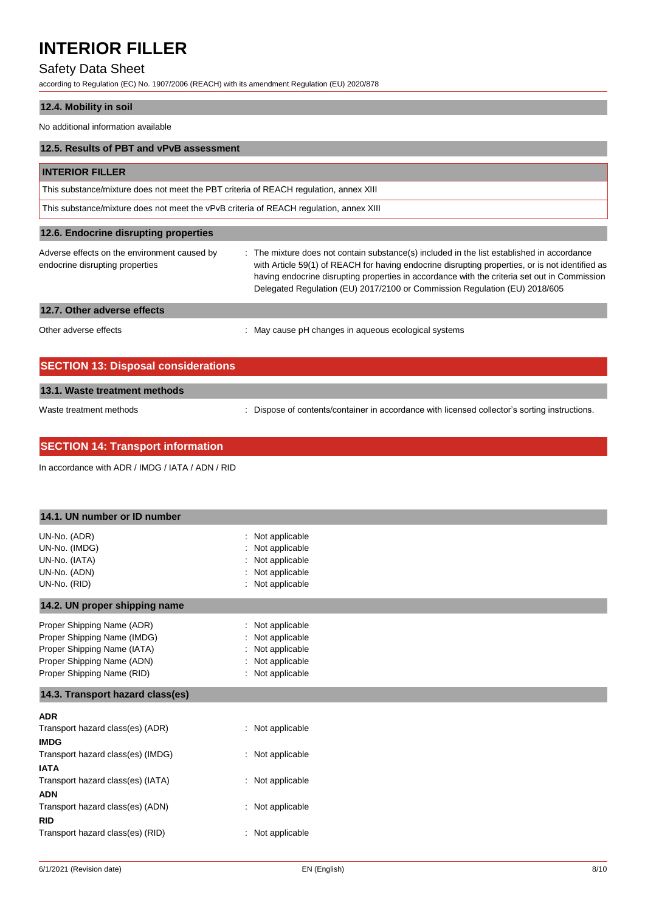# Safety Data Sheet

according to Regulation (EC) No. 1907/2006 (REACH) with its amendment Regulation (EU) 2020/878

# **12.4. Mobility in soil**

No additional information available

| 12.5. Results of PBT and vPvB assessment                                               |                                                                                                                                                                                                                                                                                                                                                                             |  |
|----------------------------------------------------------------------------------------|-----------------------------------------------------------------------------------------------------------------------------------------------------------------------------------------------------------------------------------------------------------------------------------------------------------------------------------------------------------------------------|--|
| <b>INTERIOR FILLER</b>                                                                 |                                                                                                                                                                                                                                                                                                                                                                             |  |
| This substance/mixture does not meet the PBT criteria of REACH regulation, annex XIII  |                                                                                                                                                                                                                                                                                                                                                                             |  |
| This substance/mixture does not meet the vPvB criteria of REACH regulation, annex XIII |                                                                                                                                                                                                                                                                                                                                                                             |  |
| 12.6. Endocrine disrupting properties                                                  |                                                                                                                                                                                                                                                                                                                                                                             |  |
| Adverse effects on the environment caused by<br>endocrine disrupting properties        | : The mixture does not contain substance(s) included in the list established in accordance<br>with Article 59(1) of REACH for having endocrine disrupting properties, or is not identified as<br>having endocrine disrupting properties in accordance with the criteria set out in Commission<br>Delegated Regulation (EU) 2017/2100 or Commission Regulation (EU) 2018/605 |  |
| 12.7. Other adverse effects                                                            |                                                                                                                                                                                                                                                                                                                                                                             |  |
| Other adverse effects                                                                  | : May cause pH changes in aqueous ecological systems                                                                                                                                                                                                                                                                                                                        |  |
|                                                                                        |                                                                                                                                                                                                                                                                                                                                                                             |  |

| <b>SECTION 13: Disposal considerations</b> |                                                                                               |  |
|--------------------------------------------|-----------------------------------------------------------------------------------------------|--|
| 13.1. Waste treatment methods              |                                                                                               |  |
| Waste treatment methods                    | : Dispose of contents/container in accordance with licensed collector's sorting instructions. |  |

| <b>SECTION 14: Transport information</b> |  |  |
|------------------------------------------|--|--|
|                                          |  |  |

In accordance with ADR / IMDG / IATA / ADN / RID

| 14.1. UN number or ID number      |                     |  |
|-----------------------------------|---------------------|--|
| UN-No. (ADR)                      | Not applicable      |  |
| UN-No. (IMDG)                     | Not applicable      |  |
| UN-No. (IATA)                     | Not applicable      |  |
| UN-No. (ADN)                      | Not applicable      |  |
| UN-No. (RID)                      | Not applicable      |  |
| 14.2. UN proper shipping name     |                     |  |
| Proper Shipping Name (ADR)        | Not applicable      |  |
| Proper Shipping Name (IMDG)       | Not applicable      |  |
| Proper Shipping Name (IATA)       | Not applicable      |  |
| Proper Shipping Name (ADN)        | Not applicable      |  |
| Proper Shipping Name (RID)        | Not applicable<br>÷ |  |
| 14.3. Transport hazard class(es)  |                     |  |
| <b>ADR</b>                        |                     |  |
| Transport hazard class(es) (ADR)  | : Not applicable    |  |
| <b>IMDG</b>                       |                     |  |
| Transport hazard class(es) (IMDG) | : Not applicable    |  |
| <b>IATA</b>                       |                     |  |
| Transport hazard class(es) (IATA) | : Not applicable    |  |
| <b>ADN</b>                        |                     |  |
| Transport hazard class(es) (ADN)  | : Not applicable    |  |
| <b>RID</b>                        |                     |  |
| Transport hazard class(es) (RID)  | Not applicable<br>÷ |  |
|                                   |                     |  |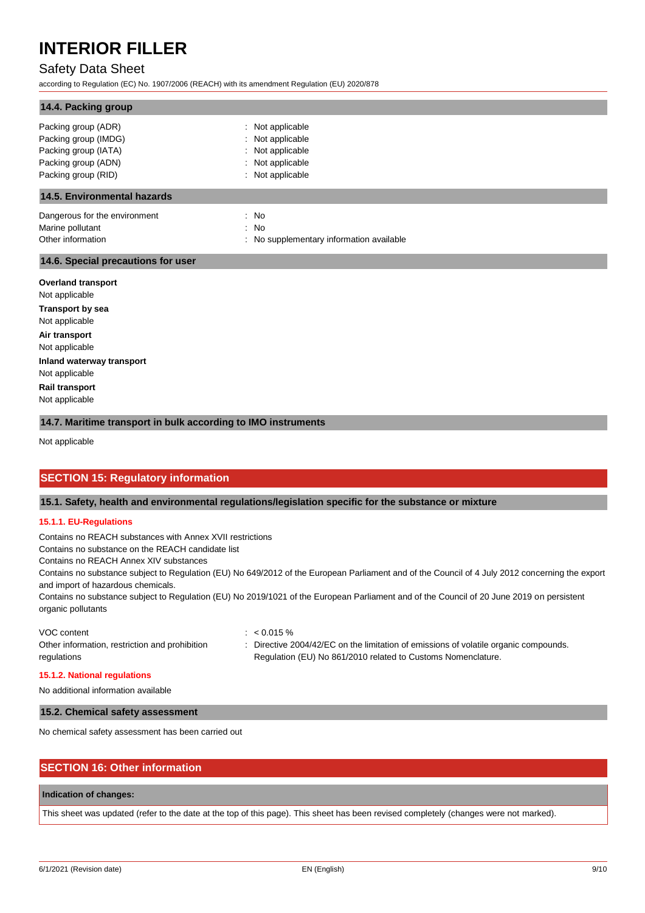# Safety Data Sheet

according to Regulation (EC) No. 1907/2006 (REACH) with its amendment Regulation (EU) 2020/878

| 14.4. Packing group                |                                          |
|------------------------------------|------------------------------------------|
| Packing group (ADR)                | Not applicable                           |
| Packing group (IMDG)               | : Not applicable                         |
| Packing group (IATA)               | : Not applicable                         |
| Packing group (ADN)                | : Not applicable                         |
| Packing group (RID)                | Not applicable                           |
| <b>14.5. Environmental hazards</b> |                                          |
| Dangerous for the environment      | : No                                     |
| Marine pollutant                   | : No                                     |
| Other information                  | : No supplementary information available |

#### **14.6. Special precautions for user**

**Overland transport** Not applicable **Transport by sea** Not applicable **Air transport** Not applicable **Inland waterway transport** Not applicable **Rail transport** Not applicable

#### **14.7. Maritime transport in bulk according to IMO instruments**

Not applicable

#### **SECTION 15: Regulatory information**

#### **15.1. Safety, health and environmental regulations/legislation specific for the substance or mixture**

#### **15.1.1. EU-Regulations**

Contains no REACH substances with Annex XVII restrictions

Contains no substance on the REACH candidate list

Contains no REACH Annex XIV substances

Contains no substance subject to Regulation (EU) No 649/2012 of the European Parliament and of the Council of 4 July 2012 concerning the export and import of hazardous chemicals.

Contains no substance subject to Regulation (EU) No 2019/1021 of the European Parliament and of the Council of 20 June 2019 on persistent organic pollutants

| VOC content                                    | : $< 0.015 \%$                                                                       |
|------------------------------------------------|--------------------------------------------------------------------------------------|
| Other information, restriction and prohibition | : Directive 2004/42/EC on the limitation of emissions of volatile organic compounds. |
| regulations                                    | Regulation (EU) No 861/2010 related to Customs Nomenclature.                         |

#### **15.1.2. National regulations**

No additional information available

#### **15.2. Chemical safety assessment**

No chemical safety assessment has been carried out

# **SECTION 16: Other information**

### **Indication of changes:**

This sheet was updated (refer to the date at the top of this page). This sheet has been revised completely (changes were not marked).